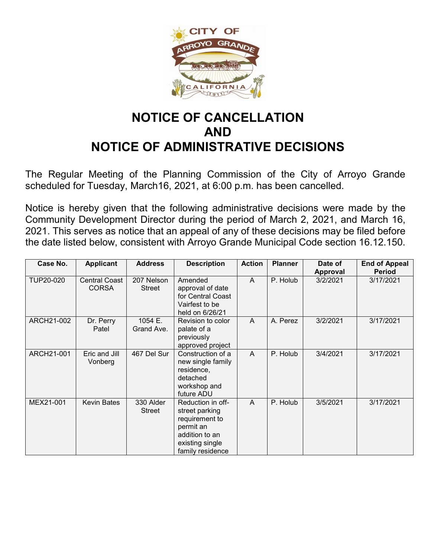

## **NOTICE OF CANCELLATION AND NOTICE OF ADMINISTRATIVE DECISIONS**

The Regular Meeting of the Planning Commission of the City of Arroyo Grande scheduled for Tuesday, March16, 2021, at 6:00 p.m. has been cancelled.

Notice is hereby given that the following administrative decisions were made by the Community Development Director during the period of March 2, 2021, and March 16, 2021. This serves as notice that an appeal of any of these decisions may be filed before the date listed below, consistent with Arroyo Grande Municipal Code section 16.12.150.

| Case No.   | <b>Applicant</b>                     | <b>Address</b>        | <b>Description</b>                                                                                                          | <b>Action</b> | <b>Planner</b> | Date of<br><b>Approval</b> | <b>End of Appeal</b><br><b>Period</b> |
|------------|--------------------------------------|-----------------------|-----------------------------------------------------------------------------------------------------------------------------|---------------|----------------|----------------------------|---------------------------------------|
| TUP20-020  | <b>Central Coast</b><br><b>CORSA</b> | 207 Nelson<br>Street  | Amended<br>approval of date<br>for Central Coast<br>Vairfest to be<br>held on 6/26/21                                       | A             | P. Holub       | 3/2/2021                   | 3/17/2021                             |
| ARCH21-002 | Dr. Perry<br>Patel                   | 1054 E.<br>Grand Ave. | Revision to color<br>palate of a<br>previously<br>approved project                                                          | A             | A. Perez       | 3/2/2021                   | 3/17/2021                             |
| ARCH21-001 | Eric and Jill<br>Vonberg             | 467 Del Sur           | Construction of a<br>new single family<br>residence,<br>detached<br>workshop and<br>future ADU                              | A             | P. Holub       | 3/4/2021                   | 3/17/2021                             |
| MEX21-001  | <b>Kevin Bates</b>                   | 330 Alder<br>Street   | Reduction in off-<br>street parking<br>requirement to<br>permit an<br>addition to an<br>existing single<br>family residence | A             | P. Holub       | 3/5/2021                   | 3/17/2021                             |